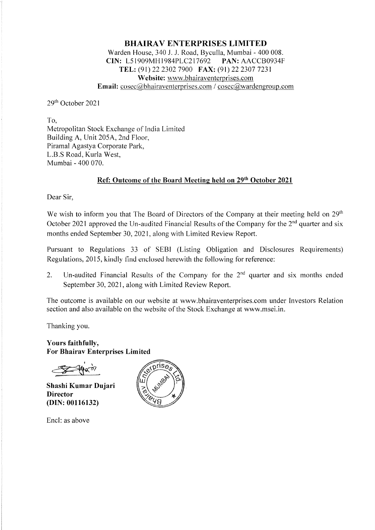## **BHAIRA V ENTERPRISES LIMITED**  Warden House, 340 J. J. Road, Byculla, Mumbai - 400 008. **CIN:** L51909MHl984PLC217692 **PAN:** AACCB0934F **TEL:** (91) 22 2302 7900 **FAX:** (91) 22 2307 7231 **Website:** www.bhairaventerprises.com **Email:**  $\csc(a)$ bhairaventerprises.com /  $\csc(a)$ wardengroup.com

29th October 2021

To, Metropolitan Stock Exchange of India Limited Building A, Unit 205A, 2nd Floor, Piramal Agastya Corporate Park, L.B.S Road, Kurla West, Mumbai - 400 070.

# **Ref: Outcome of the Board Meeting held on 29th October 2021**

Dear Sir,

We wish to inform you that The Board of Directors of the Company at their meeting held on 29<sup>th</sup> October 2021 approved the Un-audited Financial Results of the Company for the  $2<sup>nd</sup>$  quarter and six months ended September 30, 2021, along with Limited Review Report.

Pursuant to Regulations 33 of SEBI (Listing Obligation and Disclosures Requirements) Regulations, 2015, kindly find enclosed herewith the following for reference:

2. Un-audited Financial Results of the Company for the  $2<sup>nd</sup>$  quarter and six months ended September 30, 2021, along with Limited Review Report.

The outcome is available on our website at www.bhairaventerprises.com under Investors Relation section and also available on the website of the Stock Exchange at www.msei.in.

Thanking you.

**Yours faithfully, For Bhairav Enterprises Limited** 

**Shashi Kumar Dujari Director (DIN: 00116132)** 

Encl: as above

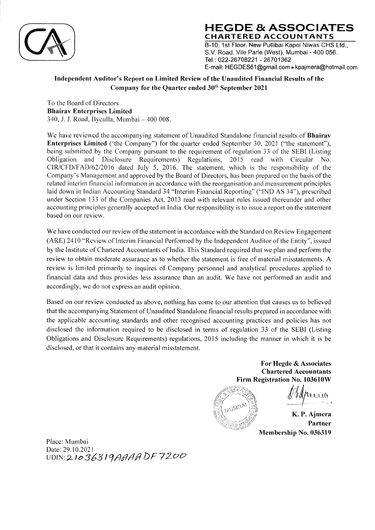

**HEGDE & ASSOCIATES CHARTERED ACCOUNTANTS**  B-10, 1st Floor. New Putlibai Kapol Niwas CHS Ltd., S.V. Road, Vile Parle (West), Mumbai - 400 056. Tel.: 022-26708221 - 26701362 E-mail: HEGDES61@gmail.com • kpajmera@hotmail.com

# **Independent Auditor's Report on Limited Review of the Unaudited Financial Results of the Company for the Quarter ended 3W11 September 2021**

To the Board of Directors **Bhairav Enterprises Limited**  340, J. J. Road, Byculla, Mumbai - 400 008.

We have reviewed the accompanying statement of Unaudited Standalone financial results of **Bhairav Enterprises Limited** ('the Company") for the quarter ended September 30, 2021 ("the statement"), being submitted by the Company pursuant to the requirement of regulation 33 of the SEBI (Listing Obligation and Disclosure Requirements) Regulations, 2015 read with Circular No. CIR/CFD/FAD/62/2016 dated July 5, 2016. The statement, which is the responsibility of the Company's Management and approved by the Board of Directors, has been prepared on the basis of the related interim financial information in accordance with the reorganisation and measurement principles laid down in Indian Accounting Standard 34 "Interim Financial Reporting'' ("IND AS 34"), prescribed under Section 133 of the Companies Act, 2013 read with relevant rules issued thereunder and other accounting principles generally accepted in India. Our responsibility is to issue a report on the statement based on our review.

We have conducted our review of the statement in accordance with the Standard on Review Engagement (ARE) 2410 "Review of Interim Financial Performed by the Independent Auditor of the Entity'', issued by the Institute of Chartered Accountants of India. This Standard required that we plan and perform the review to obtain moderate assurance as to whether the statement is free of material misstatements. A review is limited primarily to inquires of Company personnel and analytical procedures applied to financial data and thus provides less assurance than an audit. We have not performed an audit and accordingly, we do not express an audit opinion.

Based on our review conducted as above, nothing has come to our attention that causes us to believed that the accompanying Statement of Unaudited Standalone financial results prepared in accordance with the applicable accounting standards and other recognised accounting practices and policies has not disclosed the information required to be disclosed in terms of regulation 33 of the SEBI (Listing Obligations and Disclosure Requirements) regulations, 2015 including the manner in which it is be disclosed, or that it contains any material misstatement.

> **For Hegde** & **Associates Chartered Accountants Firm Registration No. 103610W**



<u>Obstrucció</u>

**K. P. Ajmcra Partner Membership No. 036319** 

Place: Mumbai Date: 29.10.2021 UDIN:2. lo363 l?/lflf1f1 DF *7200*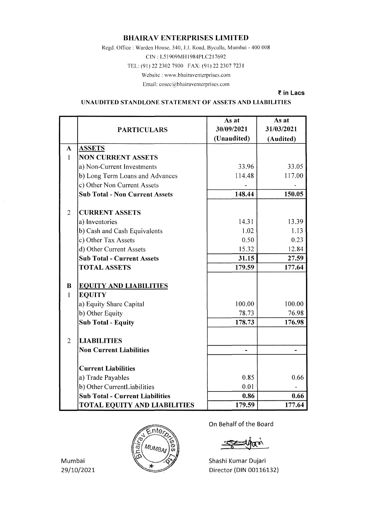### **BHAIRAV ENTERPRISES LIMITED**

Regd. Office: Warden House, 340, J.J. Road, Byculla, Mumbai - 400 008

CIN: L51909MH1984PLC217692

TEL: (91) 22 2302 7900 FAX: (91) 22 2307 7231

Website: www.bhairaventerprises.com

Email: cosec@bhairaventerprises.com

₹ in Lacs

UNAUDITED STANDLONE STATEMENT OF ASSETS AND LIABILITIES

|                |                                        | As at       | As at      |
|----------------|----------------------------------------|-------------|------------|
|                | <b>PARTICULARS</b>                     | 30/09/2021  | 31/03/2021 |
|                |                                        | (Unaudited) | (Audited)  |
| $\mathbf{A}$   | <b>ASSETS</b>                          |             |            |
| $\mathbf{1}$   | <b>NON CURRENT ASSETS</b>              |             |            |
|                | a) Non-Current Investments             | 33.96       | 33.05      |
|                | b) Long Term Loans and Advances        | 114.48      | 117.00     |
|                | c) Other Non Current Assets            |             |            |
|                | <b>Sub Total - Non Current Assets</b>  | 148.44      | 150.05     |
| $\overline{2}$ | <b>CURRENT ASSETS</b>                  |             |            |
|                | a) Inventories                         | 14.31       | 13.39      |
|                | b) Cash and Cash Equivalents           | 1.02        | 1.13       |
|                | c) Other Tax Assets                    | 0.50        | 0.23       |
|                | d) Other Current Assets                | 15.32       | 12.84      |
|                | <b>Sub Total - Current Assets</b>      | 31.15       | 27.59      |
|                | <b>TOTAL ASSETS</b>                    | 179.59      | 177.64     |
| B              | <b>EQUITY AND LIABILITIES</b>          |             |            |
| $\mathbf{1}$   | <b>EQUITY</b>                          |             |            |
|                | a) Equity Share Capital                | 100.00      | 100.00     |
|                | b) Other Equity                        | 78.73       | 76.98      |
|                | <b>Sub Total - Equity</b>              | 178.73      | 176.98     |
| 2              | <b>LIABILITIES</b>                     |             |            |
|                | <b>Non Current Liabilities</b>         |             |            |
|                |                                        |             |            |
|                | <b>Current Liabilities</b>             |             |            |
|                | a) Trade Payables                      | 0.85        | 0.66       |
|                | b) Other CurrentLiabilities            | 0.01        |            |
|                | <b>Sub Total - Current Liabilities</b> | 0.86        | 0.66       |
|                | <b>TOTAL EQUITY AND LIABILITIES</b>    | 179.59      | 177.64     |



On Behalf of the Board

Shashi Kumar Dujari Director (DIN 00116132)

Mumbai 29/10/2021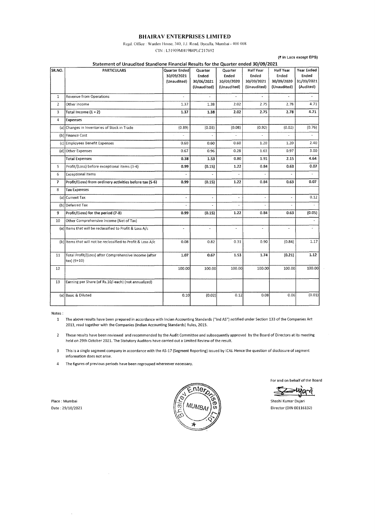#### **BHAIRAV ENTERPRISES LIMITED**

Regd. Office : Warden House, 340, J.J. Road, Byculla, Mumbai - 400 008 CIN: L51909MH1984PLC217692

(~ in Lacs except EPS)

|                         | Statement of Unaudited Standlone Financial Results for the Quarter ended 30/09/2021 |                                            |                                               |                                               |                                                 |                                                 |                                                |
|-------------------------|-------------------------------------------------------------------------------------|--------------------------------------------|-----------------------------------------------|-----------------------------------------------|-------------------------------------------------|-------------------------------------------------|------------------------------------------------|
| SR.NO.                  | <b>PARTICULARS</b>                                                                  | Quarter Ended<br>30/09/2021<br>(Unaudited) | Quarter<br>Ended<br>30/06/2021<br>(Unaudited) | Quarter<br>Ended<br>30/09/2020<br>(Unaudited) | Half Year<br>Ended<br>30/09/2021<br>(Unaudited) | Half Year<br>Ended<br>30/09/2020<br>(Unaudited) | Year Ended<br>Ended<br>31/03/2021<br>(Audited) |
| $\mathbf{1}$            | <b>Revenue from Operations</b>                                                      | ÷                                          | ×.                                            | $\overline{\phantom{a}}$                      | $\mathcal{L}$                                   | $\overline{\phantom{a}}$                        |                                                |
| $\overline{2}$          | Other Income                                                                        | 1.37                                       | 1.38                                          | 2.02                                          | 2.75                                            | 2.78                                            | 4.71                                           |
| 3                       | Total Income $(1 + 2)$                                                              | 1.37                                       | 1.38                                          | 2.02                                          | 2.75                                            | 2.78                                            | 4.71                                           |
| 4                       | <b>Expenses</b>                                                                     |                                            |                                               |                                               |                                                 |                                                 |                                                |
|                         | (a) Changes in Inventories of Stock in Trade                                        | (0.89)                                     | (0.03)                                        | (0.08)                                        | (0.92)                                          | (0.02)                                          | (0.76)                                         |
|                         | (b) Finance Cost                                                                    |                                            |                                               |                                               |                                                 |                                                 |                                                |
|                         | (c) Employees Benefit Expenses                                                      | 0.60                                       | 0.60                                          | 0.60                                          | 1.20                                            | 1.20                                            | 2.40                                           |
|                         | (d) Other Expenses                                                                  | 0.67                                       | 0.96                                          | 0.28                                          | 1.63                                            | 0.97                                            | 3.00                                           |
|                         | <b>Total Expenses</b>                                                               | 0.38                                       | 1.53                                          | 0.80                                          | 1.91                                            | 2.15                                            | 4.64                                           |
| 5                       | Profit/(Loss) before exceptional items (3-4)                                        | 0.99                                       | (0.15)                                        | 1.22                                          | 0.84                                            | 0.63                                            | 0.07                                           |
| 6                       | <b>Exceptional Items</b>                                                            |                                            |                                               |                                               |                                                 |                                                 |                                                |
| $\overline{\mathbf{z}}$ | Profit/(Loss) from ordinery activities before tax (5-6)                             | 0.99                                       | (0.15)                                        | 1.22                                          | 0.84                                            | 0.63                                            | 0.07                                           |
| 8                       | <b>Tax Expenses</b>                                                                 |                                            |                                               |                                               |                                                 |                                                 |                                                |
|                         | (a) Current Tax                                                                     |                                            | ä,                                            | $\tilde{\phantom{a}}$                         | $\omega$                                        |                                                 | 0.12                                           |
|                         | (b) Deferred Tax                                                                    |                                            |                                               |                                               |                                                 |                                                 | $\sim$                                         |
| 9                       | Profit/(Loss) for the period (7-8)                                                  | 0.99                                       | (0.15)                                        | 1.22                                          | 0.84                                            | 0.63                                            | (0.05)                                         |
| 10                      | Other Comprehensive Income (Net of Tax)                                             |                                            |                                               |                                               |                                                 |                                                 |                                                |
|                         | (a) Items that will be reclassified to Profit & Loss A/c                            | $\overline{a}$                             | ٠                                             | $\overline{a}$                                |                                                 | $\sim$                                          |                                                |
|                         | (b) Items that will not be reclassified to Profit & Loss A/c                        | 0.08                                       | 0.82                                          | 0.31                                          | 0.90                                            | (0.84)                                          | 1.17                                           |
| 11                      | Total Profit/(Loss) after Comprehensive Income (after<br>tax) (9+10)                | 1.07                                       | 0.67                                          | 1.53                                          | 1.74                                            | (0.21)                                          | 1.12                                           |
| 12                      |                                                                                     | 100.00                                     | 100.00                                        | 100.00                                        | 100.00                                          | 100.00                                          | 100.00                                         |
| 13                      | Earning per Share (of Rs.10/-each) (not annualized)                                 |                                            |                                               |                                               |                                                 |                                                 |                                                |
|                         | (a) Basic & Diluted                                                                 | 0.10                                       | (0.02)                                        | 0.12                                          | 0.08                                            | 0.06                                            | (0.01)                                         |

Notes:

- 1 The above results have been prepared in accordance with Incian Accounting Standards ("Ind AS") notified under Section 133 of the Companies Act 2013, read together with the Companies (Indian Accounting Standards) Rules, 2015.
- 2 These results have been reviewed and recommended by the Audit Committee and subsequently approved by the Board of Directors at its meeting held on 29th October 2021. The Statutory Auditors have carried out a Limited Review of the result.
- 3 This is a single segment company in accordance with the AS-17 (Segment Reporting) issued by ICAI. Hence the question of disclosure of segment information does not arise.
- 4 The figures of previous periods have been regrouped whereever necessary.

Place: Mumbai Date : 29/10/2021



For and on behalf of the Board

ଧନ୍ୟ

Shashi Kumar Oujari Director (DIN 00116132)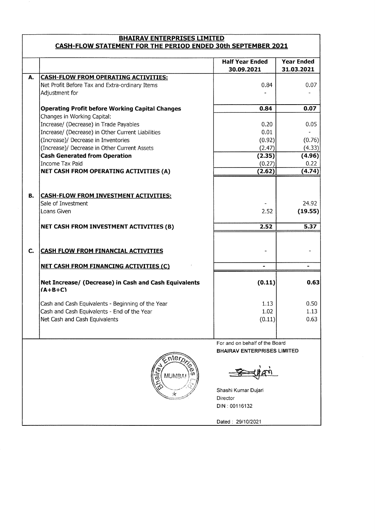## **BHAIRAV ENTERPRISES LIMITED CASH-FLOW STATEMENT FOR THE PERIOD ENDED 30th SEPTEMBER 2021**

|    |                                                                                               | <b>Half Year Ended</b>             | <b>Year Ended</b> |
|----|-----------------------------------------------------------------------------------------------|------------------------------------|-------------------|
|    |                                                                                               | 30.09.2021                         | 31.03.2021        |
| Α. | <b>CASH-FLOW FROM OPERATING ACTIVITIES:</b><br>Net Profit Before Tax and Extra-ordinary Items | 0.84                               | 0.07              |
|    | Adjustment for                                                                                |                                    |                   |
|    |                                                                                               |                                    |                   |
|    | <b>Operating Profit before Working Capital Changes</b>                                        | 0.84                               | 0.07              |
|    | Changes in Working Capital:                                                                   |                                    |                   |
|    | Increase/ (Decrease) in Trade Payables                                                        | 0.20                               | 0.05              |
|    | Increase/ (Decrease) in Other Current Liabilities                                             | 0.01                               |                   |
|    | (Increase)/ Decrease in Inventories                                                           | (0.92)                             | (0.76)            |
|    | (Increase)/ Decrease in Other Current Assets                                                  | (2.47)                             | (4.33)            |
|    | <b>Cash Generated from Operation</b>                                                          | (2.35)                             | (4.96)            |
|    | Income Tax Paid                                                                               | (0.27)                             | 0.22              |
|    | NET CASH FROM OPERATING ACTIVITIES (A)                                                        | (2.62)                             | (4.74)            |
|    |                                                                                               |                                    |                   |
| В. | <b>CASH-FLOW FROM INVESTMENT ACTIVITIES:</b>                                                  |                                    |                   |
|    | Sale of Investment                                                                            |                                    | 24.92             |
|    | Loans Given                                                                                   | 2.52                               | (19.55)           |
|    |                                                                                               |                                    |                   |
|    | NET CASH FROM INVESTMENT ACTIVITIES (B)                                                       | 2.52                               | 5.37              |
|    |                                                                                               |                                    |                   |
| C. | <b>CASH FLOW FROM FINANCIAL ACTIVITIES</b>                                                    |                                    |                   |
|    | <b>NET CASH FROM FINANCING ACTIVITIES (C)</b>                                                 | $\blacksquare$                     |                   |
|    |                                                                                               |                                    |                   |
|    | Net Increase/ (Decrease) in Cash and Cash Equivalents<br>$(A+B+C)$                            | (0.11)                             | 0.63              |
|    | Cash and Cash Equivalents - Beginning of the Year                                             | 1.13                               | 0.50              |
|    | Cash and Cash Equivalents - End of the Year                                                   | 1.02                               | 1.13              |
|    | Net Cash and Cash Equivalents                                                                 | (0.11)                             | 0.63              |
|    |                                                                                               |                                    |                   |
|    |                                                                                               | For and on behalf of the Board     |                   |
|    |                                                                                               | <b>BHAIRAV ENTERPRISES LIMITED</b> |                   |
|    | $nter_{\Omega}$<br><b>MUMBAI</b><br>$\bar{\sigma}$                                            |                                    |                   |
|    |                                                                                               |                                    |                   |
|    | $\mathbb{R}$                                                                                  | Shashi Kumar Dujari                |                   |
|    |                                                                                               | Director<br>DIN: 00116132          |                   |
|    |                                                                                               |                                    |                   |

Dated : 29/10/2021